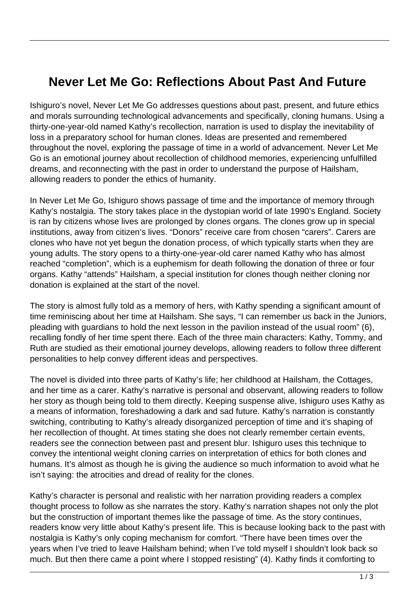## **Never Let Me Go: Reflections About Past And Future**

Ishiguro's novel, Never Let Me Go addresses questions about past, present, and future ethics and morals surrounding technological advancements and specifically, cloning humans. Using a thirty-one-year-old named Kathy's recollection, narration is used to display the inevitability of loss in a preparatory school for human clones. Ideas are presented and remembered throughout the novel, exploring the passage of time in a world of advancement. Never Let Me Go is an emotional journey about recollection of childhood memories, experiencing unfulfilled dreams, and reconnecting with the past in order to understand the purpose of Hailsham, allowing readers to ponder the ethics of humanity.

In Never Let Me Go, Ishiguro shows passage of time and the importance of memory through Kathy's nostalgia. The story takes place in the dystopian world of late 1990's England. Society is ran by citizens whose lives are prolonged by clones organs. The clones grow up in special institutions, away from citizen's lives. "Donors" receive care from chosen "carers". Carers are clones who have not yet begun the donation process, of which typically starts when they are young adults. The story opens to a thirty-one-year-old carer named Kathy who has almost reached "completion", which is a euphemism for death following the donation of three or four organs. Kathy "attends" Hailsham, a special institution for clones though neither cloning nor donation is explained at the start of the novel.

The story is almost fully told as a memory of hers, with Kathy spending a significant amount of time reminiscing about her time at Hailsham. She says, "I can remember us back in the Juniors, pleading with guardians to hold the next lesson in the pavilion instead of the usual room" (6), recalling fondly of her time spent there. Each of the three main characters: Kathy, Tommy, and Ruth are studied as their emotional journey develops, allowing readers to follow three different personalities to help convey different ideas and perspectives.

The novel is divided into three parts of Kathy's life; her childhood at Hailsham, the Cottages, and her time as a carer. Kathy's narrative is personal and observant, allowing readers to follow her story as though being told to them directly. Keeping suspense alive, Ishiguro uses Kathy as a means of information, foreshadowing a dark and sad future. Kathy's narration is constantly switching, contributing to Kathy's already disorganized perception of time and it's shaping of her recollection of thought. At times stating she does not clearly remember certain events, readers see the connection between past and present blur. Ishiguro uses this technique to convey the intentional weight cloning carries on interpretation of ethics for both clones and humans. It's almost as though he is giving the audience so much information to avoid what he isn't saying: the atrocities and dread of reality for the clones.

Kathy's character is personal and realistic with her narration providing readers a complex thought process to follow as she narrates the story. Kathy's narration shapes not only the plot but the construction of important themes like the passage of time. As the story continues, readers know very little about Kathy's present life. This is because looking back to the past with nostalgia is Kathy's only coping mechanism for comfort. "There have been times over the years when I've tried to leave Hailsham behind; when I've told myself I shouldn't look back so much. But then there came a point where I stopped resisting" (4). Kathy finds it comforting to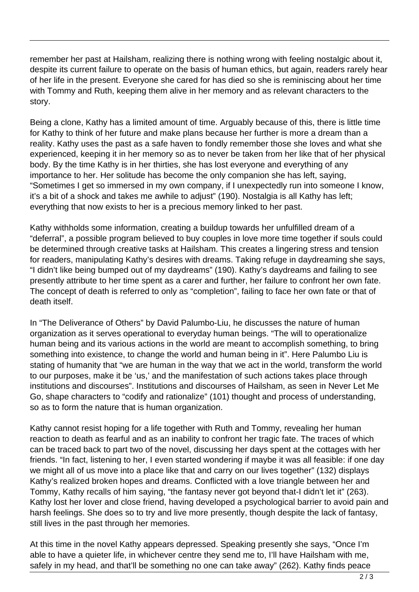remember her past at Hailsham, realizing there is nothing wrong with feeling nostalgic about it, despite its current failure to operate on the basis of human ethics, but again, readers rarely hear of her life in the present. Everyone she cared for has died so she is reminiscing about her time with Tommy and Ruth, keeping them alive in her memory and as relevant characters to the story.

Being a clone, Kathy has a limited amount of time. Arguably because of this, there is little time for Kathy to think of her future and make plans because her further is more a dream than a reality. Kathy uses the past as a safe haven to fondly remember those she loves and what she experienced, keeping it in her memory so as to never be taken from her like that of her physical body. By the time Kathy is in her thirties, she has lost everyone and everything of any importance to her. Her solitude has become the only companion she has left, saying, "Sometimes I get so immersed in my own company, if I unexpectedly run into someone I know, it's a bit of a shock and takes me awhile to adjust" (190). Nostalgia is all Kathy has left; everything that now exists to her is a precious memory linked to her past.

Kathy withholds some information, creating a buildup towards her unfulfilled dream of a "deferral", a possible program believed to buy couples in love more time together if souls could be determined through creative tasks at Hailsham. This creates a lingering stress and tension for readers, manipulating Kathy's desires with dreams. Taking refuge in daydreaming she says, "I didn't like being bumped out of my daydreams" (190). Kathy's daydreams and failing to see presently attribute to her time spent as a carer and further, her failure to confront her own fate. The concept of death is referred to only as "completion", failing to face her own fate or that of death itself.

In "The Deliverance of Others" by David Palumbo-Liu, he discusses the nature of human organization as it serves operational to everyday human beings. "The will to operationalize human being and its various actions in the world are meant to accomplish something, to bring something into existence, to change the world and human being in it". Here Palumbo Liu is stating of humanity that "we are human in the way that we act in the world, transform the world to our purposes, make it be 'us,' and the manifestation of such actions takes place through institutions and discourses". Institutions and discourses of Hailsham, as seen in Never Let Me Go, shape characters to "codify and rationalize" (101) thought and process of understanding, so as to form the nature that is human organization.

Kathy cannot resist hoping for a life together with Ruth and Tommy, revealing her human reaction to death as fearful and as an inability to confront her tragic fate. The traces of which can be traced back to part two of the novel, discussing her days spent at the cottages with her friends. "In fact, listening to her, I even started wondering if maybe it was all feasible: if one day we might all of us move into a place like that and carry on our lives together" (132) displays Kathy's realized broken hopes and dreams. Conflicted with a love triangle between her and Tommy, Kathy recalls of him saying, "the fantasy never got beyond that-I didn't let it" (263). Kathy lost her lover and close friend, having developed a psychological barrier to avoid pain and harsh feelings. She does so to try and live more presently, though despite the lack of fantasy, still lives in the past through her memories.

At this time in the novel Kathy appears depressed. Speaking presently she says, "Once I'm able to have a quieter life, in whichever centre they send me to, I'll have Hailsham with me, safely in my head, and that'll be something no one can take away" (262). Kathy finds peace